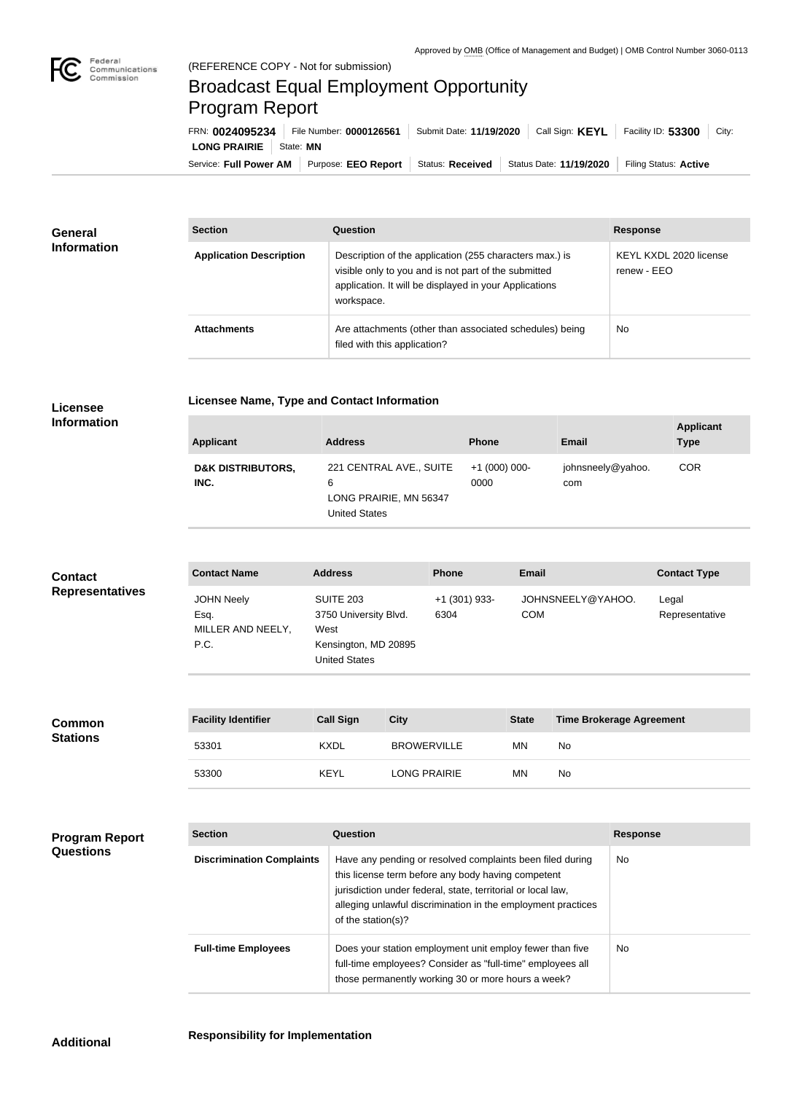

## Broadcast Equal Employment Opportunity Program Report

Service: Full Power AM | Purpose: EEO Report | Status: Received | Status Date: 11/19/2020 | Filing Status: Active **LONG PRAIRIE** | State: MN FRN: **0024095234** File Number: **0000126561** Submit Date: **11/19/2020** Call Sign: **KEYL** Facility ID: **53300** City:

| <b>General</b><br><b>Information</b> | <b>Section</b>                 | <b>Question</b>                                                                                                                                                                         | <b>Response</b>                       |
|--------------------------------------|--------------------------------|-----------------------------------------------------------------------------------------------------------------------------------------------------------------------------------------|---------------------------------------|
|                                      | <b>Application Description</b> | Description of the application (255 characters max.) is<br>visible only to you and is not part of the submitted<br>application. It will be displayed in your Applications<br>workspace. | KEYL KXDL 2020 license<br>renew - EEO |
|                                      | <b>Attachments</b>             | Are attachments (other than associated schedules) being<br>filed with this application?                                                                                                 | <b>No</b>                             |

## **Licensee Information**

|  |  | <b>Licensee Name, Type and Contact Information</b> |
|--|--|----------------------------------------------------|

| <b>Applicant</b>                     | <b>Address</b>                                                                 | <b>Phone</b>          | <b>Email</b>             | <b>Applicant</b><br><b>Type</b> |
|--------------------------------------|--------------------------------------------------------------------------------|-----------------------|--------------------------|---------------------------------|
| <b>D&amp;K DISTRIBUTORS,</b><br>INC. | 221 CENTRAL AVE., SUITE<br>6<br>LONG PRAIRIE, MN 56347<br><b>United States</b> | $+1(000)000-$<br>0000 | johnsneely@yahoo.<br>com | <b>COR</b>                      |

| <b>Contact</b>         | <b>Contact Name</b>                                    | <b>Address</b>                                                                                    | <b>Phone</b>            | <b>Email</b>                    | <b>Contact Type</b>     |
|------------------------|--------------------------------------------------------|---------------------------------------------------------------------------------------------------|-------------------------|---------------------------------|-------------------------|
| <b>Representatives</b> | <b>JOHN Neely</b><br>Esq.<br>MILLER AND NEELY,<br>P.C. | <b>SUITE 203</b><br>3750 University Blvd.<br>West<br>Kensington, MD 20895<br><b>United States</b> | $+1$ (301) 933-<br>6304 | JOHNSNEELY@YAHOO.<br><b>COM</b> | Legal<br>Representative |

| <b>Common</b><br><b>Stations</b> | <b>Facility Identifier</b> | <b>Call Sign</b> | <b>City</b>         | <b>State</b> | <b>Time Brokerage Agreement</b> |
|----------------------------------|----------------------------|------------------|---------------------|--------------|---------------------------------|
|                                  | 53301                      | <b>KXDL</b>      | <b>BROWERVILLE</b>  | ΜN           | No                              |
|                                  | 53300                      | <b>KEYL</b>      | <b>LONG PRAIRIE</b> | ΜN           | No                              |

| <b>Program Report</b> |
|-----------------------|
| <b>Questions</b>      |

| <b>Section</b>                   | Question                                                                                                                                                                                                                                                              | <b>Response</b> |
|----------------------------------|-----------------------------------------------------------------------------------------------------------------------------------------------------------------------------------------------------------------------------------------------------------------------|-----------------|
| <b>Discrimination Complaints</b> | Have any pending or resolved complaints been filed during<br>this license term before any body having competent<br>jurisdiction under federal, state, territorial or local law,<br>alleging unlawful discrimination in the employment practices<br>of the station(s)? | No.             |
| <b>Full-time Employees</b>       | Does your station employment unit employ fewer than five<br>full-time employees? Consider as "full-time" employees all<br>those permanently working 30 or more hours a week?                                                                                          | N <sub>o</sub>  |